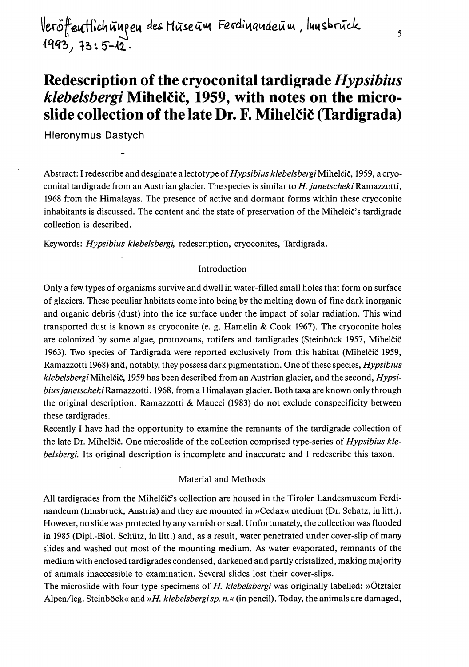# Veröffeutlichūnpeu des Mūseūm Ferdinandeūm, Innsbrück 1993, 73: 5-12.

## Redescription of the cryoconital tardigrade *Hypsibius klebelsbergi* Mihelčič, 1959, with notes on the microslide collection of the late Dr. F. Mihelčič (Tardigrada)

Hieronymus Dastych

Abstract: I redescribe and desginate a lectotype of*Hypsibius* klebelsbergiMihel~i~, 1959, acryoconital tardigrade from an Austrian glacier. The species is similar to *H. janetscheki* Ramazzotti, 1968 from the Himalayas. The presence of active and dormant forms within these cryoconite inhabitants is discussed. The content and the state of preservation of the Mihelčic's tardigrade collection is described.

Keywords: *Hypsibius klebelsbergi,* redescription, cryoconites, Tardigrada.

### Introduction

Only a few types of organisms survive-and dwell in water-filled small holes that form on surface of glaciers. These peculiar habitats come into being by the melting down of fine dark inorganic and organic debris (dust) into the ice surface under the impact of solar radiation. This wind transported dust is known as cryoconite (e. g. Hamelin  $\&$  Cook 1967). The cryoconite holes are colonized by some algae, protozoans, rotifers and tardigrades (Steinböck 1957, Mihelčič 1963). Two species of Tardigrada were reported exclusively from this habitat (Mihelčič 1959, Ramazzotti 1968) and, notably, they possess dark pigmentation. One ofthese species, *Hypsibius* klebelsbergiMihel~i~, 1959 has been described from an Austrian glacier, and the second, *HypsibiusjanetschekiRamazzotti,* 1968, from a Himalayan glacier. Both taxa are known only through the original description. Ramazzotti & Maucci (1983) do not exclude conspecificity between these tardigrades.

Recently I have had the opportunity to examine the remnants of the tardigrade collection of the late Dr. Mihelčič. One microslide of the collection comprised type-series of *Hypsibius klebelsbergi.* Its original description is incomplete and inaccurate and I redescribe this taxon.

## Material and Methods

All tardigrades from the Mihelčič's collection are housed in the Tiroler Landesmuseum Ferdinandeum (Innsbruck, Austria) and they are mounted in »Cedax« medium (Dr. Schatz, in litt.). However, no slide was protected by any varnish orseal. Unfortunately, the collection was flooded in 1985 (Dipl.-Biol. Schiitz, in litt.) and, as a result, water penetrated under cover-slip of many slides and washed out most of the mounting medium. As water evaporated, remnants of the medium with enclosed tardigrades condensed, darkened and partly cristalized, making majority of animals inaccessible to examination. Several slides lost their cover-slips.

The microslide with four type-specimens of *H. klebelsbergi* was originally labelled: »Dtztaler Alpen/leg. Steinbock« and *»H. klebelsbergisp. n.«* (in pencil). Today, the animals are damaged,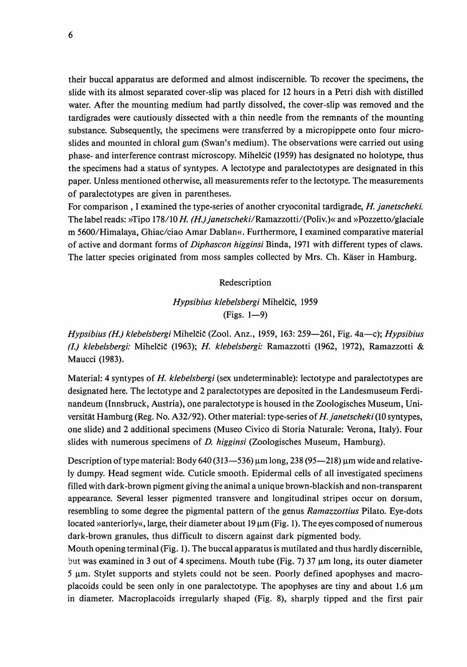their buccal apparatus are deformed and almost indiscernible. To recover the specimens, the slide with its almost separated cover-slip was placed for 12 hours in a Petri dish with distilled water. After the mounting medium had partly dissolved, the cover-slip was removed and the tardigrades were cautiously dissected with a thin needle from the remnants of the mounting substance. Subsequently, the specimens were transferred by a micropippete onto four microslides and mounted in chloral gum (Swan's medium). The observations were carried out using phase- and interference contrast microscopy. Mihelčič (1959) has designated no holotype, thus the specimens had a status of syntypes. A lectotype and paralectotypes are designated in this paper. Unless mentioned otherwise, all measurements refer to the lectotype. The measurements of paralectotypes are given in parentheses.

For comparison, I examined the type-series of another cryoconital tardigrade, *H. janetscheki.* The label reads: »Tipo 178/10 H. (H.) *janetscheki*/Ramazzotti/(Poliv.)« and »Pozzetto/glaciale m 5600/Himalaya, Ghiac/ciao Amar Dablan«. Furthermore, I examined comparative material of active and dormant forms of *Diphascon higginsi* Binda, 1971 with different types of claws. The latter species originated from moss samples collected by Mrs. Ch. Kaser in Hamburg.

## Redescription

## *Hypsibius klebelsbergi* Mihel~i~, 1959  $(Figs. 1-9)$

*Hypsibius* (H) *klebelsbergi* Mihel~i~ (Zoo1. Anz., 1959, 163: 259-261, Fig. 4a-c); *Hypsibius (I.) klebelsbergi:* Mihel~i~ (1963); *H. klebelsbergi:* Ramazzotti (1962, 1972), Ramazzotti & Maucci (1983).

Material: 4 syntypes of *H. klebelsbergi* (sex undeterminable): lectotype and paralectotypes are designated here. The lectotype and 2 paralectotypes are deposited in the Landesmuseum Ferdinandeum (Innsbruck, Austria), one paralectotype is housed in the Zoologisches Museum, Universitat Hamburg (Reg. No. A32/92). Other material: type-series of*H. janetscheki* (10 syntypes, one slide) and 2 additional specimens (Museo Civico di Storia Naturale: Verona, Italy). Four slides with numerous specimens of *D. higginsi* (Zoologisches Museum, Hamburg).

Description of type material: Body 640 (313–536)  $\mu$ m long, 238 (95–218)  $\mu$ m wide and relatively dumpy. Head segment wide. Cuticle smooth. Epidermal cells of all investigated specimens filled with dark-brown pigment giving the animal a unique brown-blackish and non-transparent appearance. Several lesser pigmented transvere and longitudinal stripes occur on dorsum, resembling to some degree the pigmental pattern of the genus *Ramazzottius* Pilato. Eye-dots located »anteriorly«, large, their diameter about  $19 \mu m$  (Fig. 1). The eyes composed of numerous dark-brown granules, thus difficult to discern against dark pigmented body.

Mouth opening terminal (Fig. 1). The buccal apparatus is mutilated and thus hardly discernible, but was examined in 3 out of 4 specimens. Mouth tube (Fig. 7) 37  $\mu$ m long, its outer diameter  $5 \mu$ m. Stylet supports and stylets could not be seen. Poorly defined apophyses and macroplacoids could be seen only in one paralectotype. The apophyses are tiny and about 1.6  $\mu$ m in diameter. Macroplacoids irregularly shaped (Fig. 8), sharply tipped and the first pair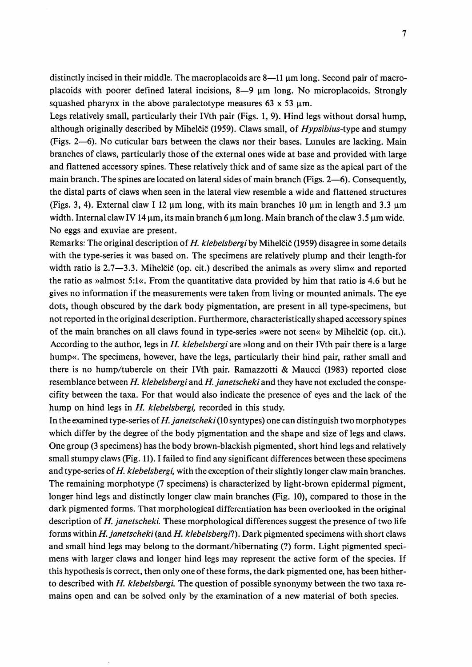distinctly incised in their middle. The macroplacoids are  $8-11 \mu m$  long. Second pair of macroplacoids with poorer defined lateral incisions,  $8-9$   $\mu$ m long. No microplacoids. Strongly squashed pharynx in the above paralectotype measures  $63 \times 53 \text{ µm}$ .

Legs relatively small, particularly their IVth pair (Figs. 1, 9). Hind legs without dorsal hump, although originally described by Mihelčič (1959). Claws small, of *Hypsibius-type* and stumpy (Figs. 2-6). No cuticular bars between the claws nor their bases. Lunules are lacking. Main branches of claws, particularly those of the external ones wide at base and provided with large and flattened accessory spines. These relatively thick and of same size as the apical part of the main branch. The spines are located on lateral sides of main branch (Figs.  $2-6$ ). Consequently, the distal parts of claws when seen in the lateral view resemble a wide and flattened structures (Figs. 3, 4). External claw I 12  $\mu$ m long, with its main branches 10  $\mu$ m in length and 3.3  $\mu$ m width. Internal claw IV 14  $\mu$ m, its main branch 6  $\mu$ m long. Main branch of the claw 3.5  $\mu$ m wide. No eggs and exuviae are present.

Remarks: The original description of H. klebelsbergi by Mihelčič (1959) disagree in some details with the type-series it was based on. The specimens are relatively plump and their length-for width ratio is  $2.7 - 3.3$ . Mihelčič (op. cit.) described the animals as *»very slim«* and reported the ratio as »almost 5:1«. From the quantitative data provided by him that ratio is 4.6 but he gives no information if the measurements were taken from living or mounted animals. The eye dots, though obscured by the dark body pigmentation, are present in all type-specimens, but not reported in the original description. Furthermore, characteristically shaped accessory spines of the main branches on all claws found in type-series »were not seen« by Mihelčič (op. cit.). According to the author, legs in H. *klebelsbergi* are »long and on their IVth pair there is a large hump«. The specimens, however, have the legs, particularly their hind pair, rather small and there is no hump/tubercle on their IVth pair. Ramazzotti & Maucci (1983) reported close resemblance between *H. klebelsbergi* and *H. janetscheki* and they have not excluded the conspecifity between the taxa. For that would also indicate the presence of eyes and the lack of the hump on hind legs in *H. klebelsbergi,* recorded in this study.

In the examined type-series of*H. janetscheki*(10 syntypes) one can distinguish two morphotypes which differ by the degree of the body pigmentation and the shape and size of legs and claws. One group (3 specimens) has the body brown-blackish pigmented, short hind legs and relatively small stumpy claws (Fig. 11). I failed to find any significant differences between these specimens and type-series of*H. klebelsbergi,* with the exception oftheir slightly longer claw main branches. The remaining morphotype (7 specimens) is characterized by light-brown epidermal pigment, longer hind legs and distinctly longer claw main branches (Fig. 10), compared to those in the dark pigmented forms. That morphological differentiation has been overlooked in the original description of H. *janetscheki.* These morphological differences suggest the presence oftwo life forms within *H. janetscheki* (and *H. klebelsbergi?).* Dark pigmented specimens with short claws and small hind legs may belong to the dormant/hibernating (?) form. Light pigmented specimens with larger claws and longer hind legs may represent the active form of the species. If this hypothesis is correct, then only one of these forms, the dark pigmented one, has been hitherto described with *H. klebelsbergi.* The question of possible synonymy between the two taxa remains open and can be solved only by the examination of a new material of both species.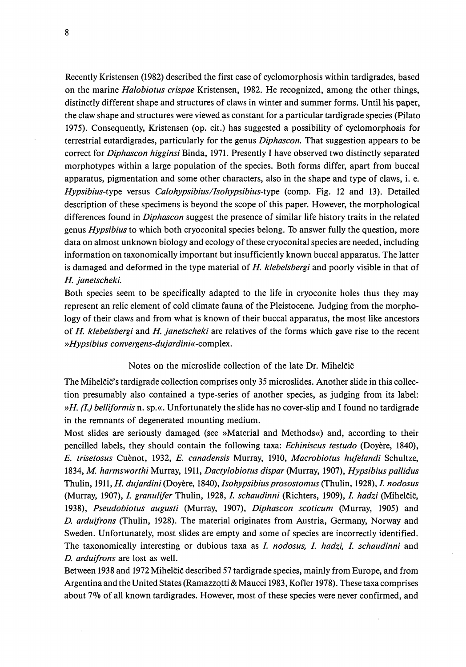Recently Kristensen (1982) described the first case of cyclomorphosis within tardigrades, based on the marine *Halobiotus crispae* Kristensen, 1982. He recognized, among the other things, distinctly different shape and structures of claws in winter and summer forms. Until his paper, the claw shape and structures were viewed as constant for a particular tardigrade species (Pilato 1975). Consequently, Kristensen (op. cit.) has suggested a possibility of cyclomorphosis for terrestrial eutardigrades, particularly for the genus *Diphascon.* That suggestion appears to be correct for *Diphascon higginsi* Binda, 1971. Presently I have observed two distinctly separated morphotypes within a large population of the species. Both forms differ, apart from buccal apparatus, pigmentation and some other characters, also in the shape and type of claws, i. e. *Hypsibius-type* versus *Calohypsibius/Isohypsibius-type* (comp. Fig. 12 and 13). Detailed description of these specimens is beyond the scope of this paper. However, the morphological differences found in *Diphascon* suggest the presence of similar life history traits in the related genus *Hypsibius* to which both cryoconital species belong. To answer fully the question, more data on almost unknown biology and ecology ofthese cryoconital species are needed, including information on taxonomically important but insufficiently known buccal apparatus. The latter is damaged and deformed in the type material of H. *klebelsbergi* and poorly visible in that of *H. janetscheki.*

Both species seem to be specifically adapted to the life in cryoconite holes thus they may represent an relic element of cold climate fauna of the Pleistocene. Judging from the morphology of their claws and from what is known of their buccal apparatus, the most like ancestors of H. *klebelsbergi* and *H. janetscheki* are relatives of the forms which gave rise to the recent *»Hypsibius convergens-dujardini«-complex.*

## Notes on the microslide collection of the late Dr. Mihelčič

The Mihelčič's tardigrade collection comprises only 35 microslides. Another slide in this collection presumably also contained a type-series of another species, as judging from its label: *»H. (I.) belli/ormis* n. sp.«. Unfortunately the slide has no cover-Slip and I found no tardigrade in the remnants of degenerated mounting medium.

Most slides are seriously damaged (see »Material and Methods«) and, according to their pencilled labels, they should contain the following taxa: *Echiniscus testudo* (Doyere, 1840), *E. trisetosus* Cuenot, 1932, *E. canadensis* Murray, 1910, *Macrobiotus hufelandi* Schultze, 1834, *M. harmsworthi* Murray, 1911, *Dactylobiotus dispar* (Murray, 1907), *Hypsibius pallidus* Thulin, 1911, *H. dujardini* (Doyere, 1840), *!sohypsibius prosostomus* (Thulin, 1928), *l. nodosus* (Murray, 1907), 1. *granulifer* Thulin, 1928, 1. *schaudinni* (Richters, 1909), 1. *hadzi* (Mihel~i~, 1938), *Pseudobiotus augusti* (Murray, 1907), *Diphascon scoticum* (Murray, 1905) and *D. arduifrons* (Thulin, 1928). The material originates from Austria, Germany, Norway and Sweden. Unfortunately, most slides are empty and some of species are incorrectly identified. The taxonomically interesting or dubious taxa as 1. *nodosus,* 1. *hadzi,* I *schaudinni* and *D. arduifrons* are lost as well.

Between 1938 and 1972 Mihelčič described 57 tardigrade species, mainly from Europe, and from Argentina and the United States (Ramazzotti & Maucci 1983, Kofler 1978). These taxa comprises about 7% of all known tardigrades. However, most of these species were never confirmed, and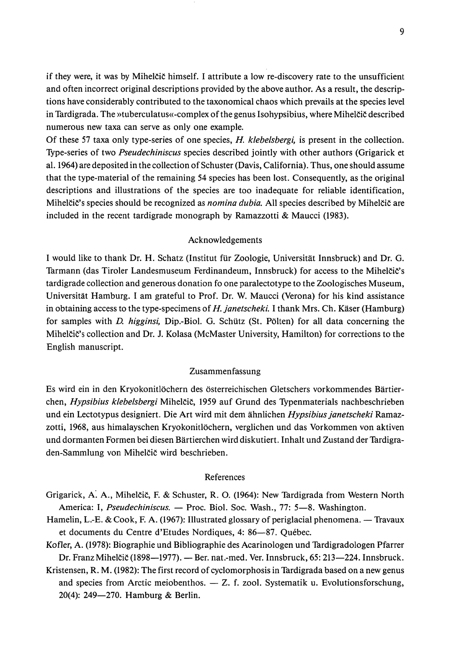if they were, it was by Mihelčič himself. I attribute a low re-discovery rate to the unsufficient and often incorrect original descriptions provided by the above author. As a result, the descriptions have considerably contributed to the taxonomical chaos which prevails at the species level in Tardigrada. The »tuberculatus«-complex of the genus Isohypsibius, where Mihelčič described numerous new taxa can serve as only one example.

Of these 57 taxa only type-series of one species, *H. klebelsbergi,* is present in the collection. Type-series of two *Pseudechiniscus* species described jointly \vith other authors (Grigarick et al. 1964) are deposited in the collection of Schuster (Davis, California). Thus, one should assume that the type-material of the remaining 54 species has been lost. Consequently, as the original descriptions and illustrations of the species are too inadequate for reliable identification, Mihelčič's species should be recognized as *nomina dubia*. All species described by Mihelčič are included in the recent tardigrade monograph by Ramazzotti  $\&$  Maucci (1983).

#### Acknowledgements

I would like to thank Dr. H. Schatz (Institut für Zoologie, Universität Innsbruck) and Dr. G. Tarmann (das Tiroler Landesmuseum Ferdinandeum, Innsbruck) for access to the Mihelčič's tardigrade collection and generous donation fo one paralectotype to the Zoologisches Museum, Universität Hamburg. I am grateful to Prof. Dr. W. Maucci (Verona) for his kind assistance in obtaining access to the type-specimens of *H. janetscheki*. I thank Mrs. Ch. Käser (Hamburg) for samples with *D. higginsi,* Dip.-Biol. G. Schtitz (St. Polten) for all data concerning the Mihelčič's collection and Dr. J. Kolasa (McMaster University, Hamilton) for corrections to the English manuscript.

## Zusammenfassung

Es wird ein in den Kryokonitlochern des osterreichischen Gletschers vorkommendes Bartierchen, *Hypsibius klebelsbergi* Mihel~i~, 1959 auf Grund des Typenmaterials nachbeschrieben und ein Lectotypus designiert. Die Art wird mit dem ahnlichen *Hypsibius janetscheki* Ramazzotti, 1968, aus himalayschen Kryokonitlochern, verglichen und das Vorkommen von aktiven und dormanten Formen bei diesen Bartierchen wird diskutiert. Inhalt und Zustand der Tardigraden-Sammlung von Mihelčič wird beschrieben.

#### References

- Grigarick, A. A., Mihelčič, F. & Schuster, R. O. (1964): New Tardigrada from Western North America: I, *Pseudechiniscus.* - Proc. Biol. Soc. Wash., 77: 5-8. Washington.
- Hamelin, L.-E. & Cook, F. A. (1967): Illustrated glossary of periglacial phenomena.  $-$  Travaux et documents du Centre d'Etudes Nordiques, 4: 86-87. Québec.
- Kofler, A. (1978): Biographie und Bibliographie des Acarinologen und Tardigradologen Pfarrer Dr. Franz Mihelčič (1898—1977). — Ber. nat.-med. Ver. Innsbruck, 65: 213—224. Innsbruck.
- Kristensen, R. M. (1982): The first record of cyclomorphosis in Tardigrada based on a new genus and species from Arctic meiobenthos.  $-$  Z. f. zool. Systematik u. Evolutionsforschung, 20(4): 249-270. Hamburg & Berlin.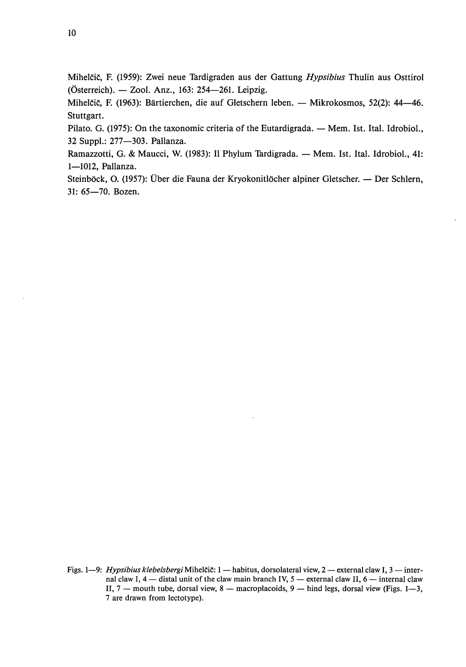Mihelčič, F. (1959): Zwei neue Tardigraden aus der Gattung *Hypsibius* Thulin aus Osttirol  $(Österreich)$ . - Zool. Anz., 163: 254-261. Leipzig.

Mihelčič, F. (1963): Bärtierchen, die auf Gletschern leben. - Mikrokosmos, 52(2): 44-46. Stuttgart.

Pilato. G. (1975): On the taxonomic criteria of the Eutardigrada. — Mem. Ist. Ital. Idrobiol., 32 Suppl.: 277-303. Pallanza.

Ramazzotti, G. & Maucci, W. (1983): Il Phylum Tardigrada. — Mem. Ist. Ital. Idrobiol., 41: 1-1012, Pallanza.

Steinböck, O. (1957): Über die Fauna der Kryokonitlöcher alpiner Gletscher. — Der Schlern, 31: 65-70. Bozen.

Figs. 1-9: *Hypsibius klebelsbergi* Mihelčič: 1 - habitus, dorsolateral view, 2 - external claw I, 3 - internal claw I,  $4$  - distal unit of the claw main branch IV,  $5$  - external claw II,  $6$  - internal claw II,  $7$  - mouth tube, dorsal view,  $8$  - macroplacoids,  $9$  - hind legs, dorsal view (Figs. 1-3, 7 are drawn from lectotype).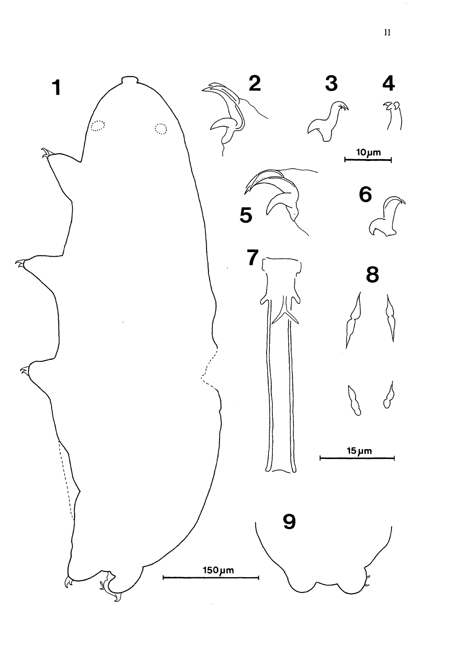

11